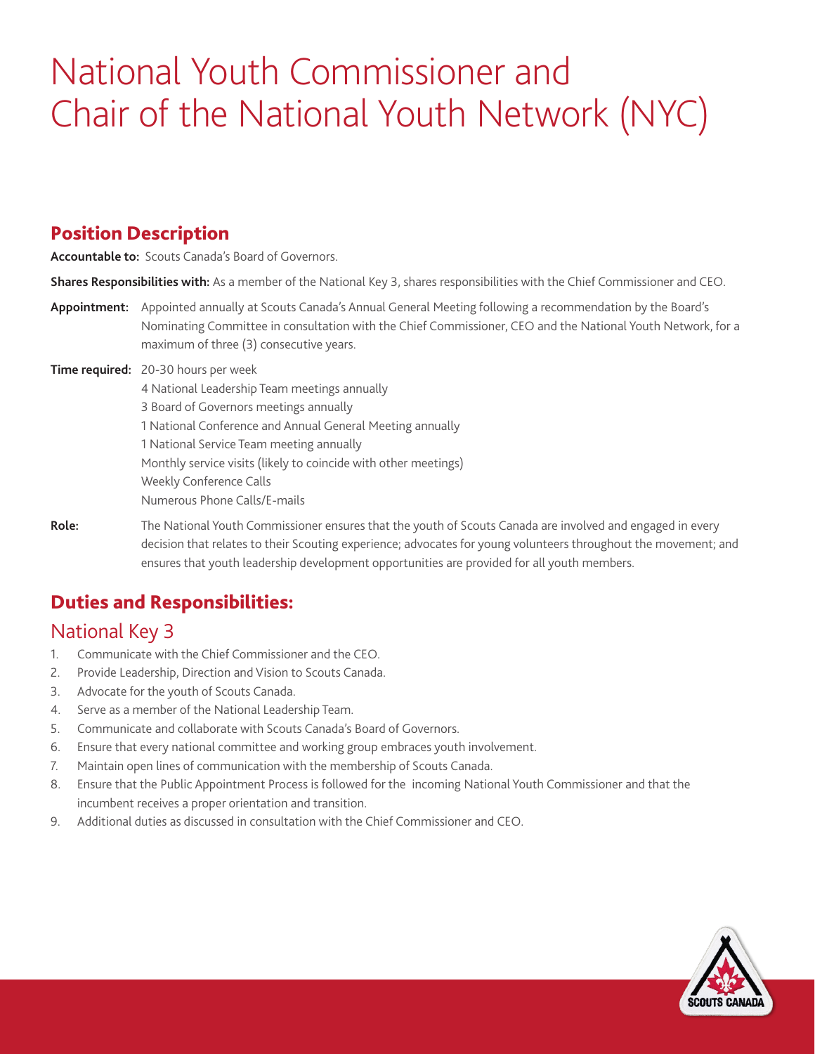# National Youth Commissioner and Chair of the National Youth Network (NYC)

### Position Description

**Accountable to:** Scouts Canada's Board of Governors.

**Shares Responsibilities with:** As a member of the National Key 3, shares responsibilities with the Chief Commissioner and CEO.

- **Appointment:** Appointed annually at Scouts Canada's Annual General Meeting following a recommendation by the Board's Nominating Committee in consultation with the Chief Commissioner, CEO and the National Youth Network, for a maximum of three (3) consecutive years.
- **Time required:** 20-30 hours per week
	- 4 National Leadership Team meetings annually 3 Board of Governors meetings annually 1 National Conference and Annual General Meeting annually 1 National Service Team meeting annually Monthly service visits (likely to coincide with other meetings) Weekly Conference Calls Numerous Phone Calls/E-mails
- **Role:** The National Youth Commissioner ensures that the youth of Scouts Canada are involved and engaged in every decision that relates to their Scouting experience; advocates for young volunteers throughout the movement; and ensures that youth leadership development opportunities are provided for all youth members.

## Duties and Responsibilities:

## National Key 3

- 1. Communicate with the Chief Commissioner and the CEO.
- 2. Provide Leadership, Direction and Vision to Scouts Canada.
- 3. Advocate for the youth of Scouts Canada.
- 4. Serve as a member of the National Leadership Team.
- 5. Communicate and collaborate with Scouts Canada's Board of Governors.
- 6. Ensure that every national committee and working group embraces youth involvement.
- 7. Maintain open lines of communication with the membership of Scouts Canada.
- 8. Ensure that the Public Appointment Process is followed for the incoming National Youth Commissioner and that the incumbent receives a proper orientation and transition.
- 9. Additional duties as discussed in consultation with the Chief Commissioner and CEO.